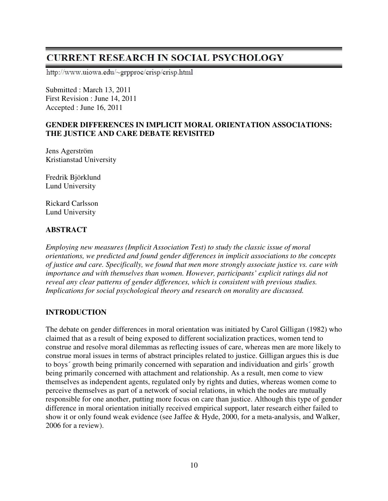# **CURRENT RESEARCH IN SOCIAL PSYCHOLOGY**

http://www.uiowa.edu/~grpproc/crisp/crisp.html

Submitted : March 13, 2011 First Revision : June 14, 2011 Accepted : June 16, 2011

# **GENDER DIFFERENCES IN IMPLICIT MORAL ORIENTATION ASSOCIATIONS: THE JUSTICE AND CARE DEBATE REVISITED**

Jens Agerström Kristianstad University

Fredrik Björklund Lund University

Rickard Carlsson Lund University

# **ABSTRACT**

*Employing new measures (Implicit Association Test) to study the classic issue of moral orientations, we predicted and found gender differences in implicit associations to the concepts of justice and care. Specifically, we found that men more strongly associate justice vs. care with importance and with themselves than women. However, participants' explicit ratings did not reveal any clear patterns of gender differences, which is consistent with previous studies. Implications for social psychological theory and research on morality are discussed.* 

# **INTRODUCTION**

The debate on gender differences in moral orientation was initiated by Carol Gilligan (1982) who claimed that as a result of being exposed to different socialization practices, women tend to construe and resolve moral dilemmas as reflecting issues of care, whereas men are more likely to construe moral issues in terms of abstract principles related to justice. Gilligan argues this is due to boys´ growth being primarily concerned with separation and individuation and girls´ growth being primarily concerned with attachment and relationship. As a result, men come to view themselves as independent agents, regulated only by rights and duties, whereas women come to perceive themselves as part of a network of social relations, in which the nodes are mutually responsible for one another, putting more focus on care than justice. Although this type of gender difference in moral orientation initially received empirical support, later research either failed to show it or only found weak evidence (see Jaffee & Hyde, 2000, for a meta-analysis, and Walker, 2006 for a review).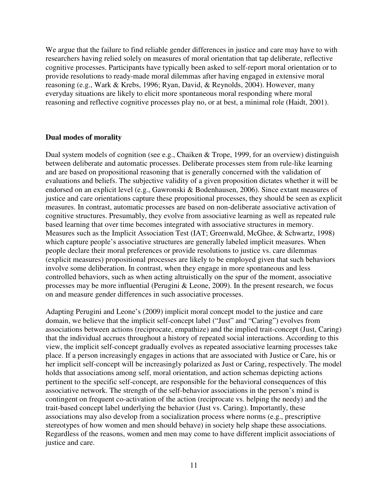We argue that the failure to find reliable gender differences in justice and care may have to with researchers having relied solely on measures of moral orientation that tap deliberate, reflective cognitive processes. Participants have typically been asked to self-report moral orientation or to provide resolutions to ready-made moral dilemmas after having engaged in extensive moral reasoning (e.g., Wark & Krebs, 1996; Ryan, David, & Reynolds, 2004). However, many everyday situations are likely to elicit more spontaneous moral responding where moral reasoning and reflective cognitive processes play no, or at best, a minimal role (Haidt, 2001).

### **Dual modes of morality**

Dual system models of cognition (see e.g., Chaiken & Trope, 1999, for an overview) distinguish between deliberate and automatic processes. Deliberate processes stem from rule-like learning and are based on propositional reasoning that is generally concerned with the validation of evaluations and beliefs. The subjective validity of a given proposition dictates whether it will be endorsed on an explicit level (e.g., Gawronski & Bodenhausen, 2006). Since extant measures of justice and care orientations capture these propositional processes, they should be seen as explicit measures. In contrast, automatic processes are based on non-deliberate associative activation of cognitive structures. Presumably, they evolve from associative learning as well as repeated rule based learning that over time becomes integrated with associative structures in memory. Measures such as the Implicit Association Test (IAT; Greenwald, McGhee, & Schwartz, 1998) which capture people's associative structures are generally labeled implicit measures. When people declare their moral preferences or provide resolutions to justice vs. care dilemmas (explicit measures) propositional processes are likely to be employed given that such behaviors involve some deliberation. In contrast, when they engage in more spontaneous and less controlled behaviors, such as when acting altruistically on the spur of the moment, associative processes may be more influential (Perugini & Leone, 2009). In the present research, we focus on and measure gender differences in such associative processes.

Adapting Perugini and Leone's (2009) implicit moral concept model to the justice and care domain, we believe that the implicit self-concept label ("Just" and "Caring") evolves from associations between actions (reciprocate, empathize) and the implied trait-concept (Just, Caring) that the individual accrues throughout a history of repeated social interactions. According to this view, the implicit self-concept gradually evolves as repeated associative learning processes take place. If a person increasingly engages in actions that are associated with Justice or Care, his or her implicit self-concept will be increasingly polarized as Just or Caring, respectively. The model holds that associations among self, moral orientation, and action schemas depicting actions pertinent to the specific self-concept, are responsible for the behavioral consequences of this associative network. The strength of the self-behavior associations in the person's mind is contingent on frequent co-activation of the action (reciprocate vs. helping the needy) and the trait-based concept label underlying the behavior (Just vs. Caring). Importantly, these associations may also develop from a socialization process where norms (e.g., prescriptive stereotypes of how women and men should behave) in society help shape these associations. Regardless of the reasons, women and men may come to have different implicit associations of justice and care.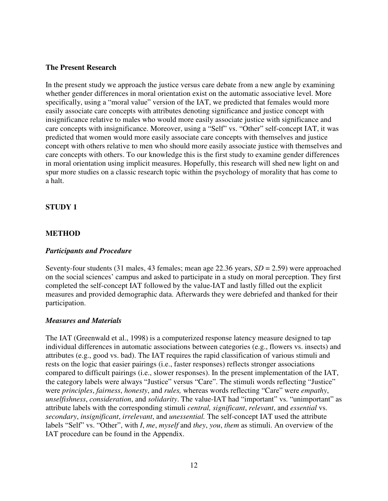### **The Present Research**

In the present study we approach the justice versus care debate from a new angle by examining whether gender differences in moral orientation exist on the automatic associative level. More specifically, using a "moral value" version of the IAT, we predicted that females would more easily associate care concepts with attributes denoting significance and justice concept with insignificance relative to males who would more easily associate justice with significance and care concepts with insignificance. Moreover, using a "Self" vs. "Other" self-concept IAT, it was predicted that women would more easily associate care concepts with themselves and justice concept with others relative to men who should more easily associate justice with themselves and care concepts with others. To our knowledge this is the first study to examine gender differences in moral orientation using implicit measures. Hopefully, this research will shed new light on and spur more studies on a classic research topic within the psychology of morality that has come to a halt.

### **STUDY 1**

### **METHOD**

### *Participants and Procedure*

Seventy-four students (31 males, 43 females; mean age 22.36 years, *SD* = 2.59) were approached on the social sciences' campus and asked to participate in a study on moral perception. They first completed the self-concept IAT followed by the value-IAT and lastly filled out the explicit measures and provided demographic data. Afterwards they were debriefed and thanked for their participation.

### *Measures and Materials*

The IAT (Greenwald et al., 1998) is a computerized response latency measure designed to tap individual differences in automatic associations between categories (e.g., flowers vs. insects) and attributes (e.g., good vs. bad). The IAT requires the rapid classification of various stimuli and rests on the logic that easier pairings (i.e., faster responses) reflects stronger associations compared to difficult pairings (i.e., slower responses). In the present implementation of the IAT, the category labels were always "Justice" versus "Care". The stimuli words reflecting "Justice" were *principles*, *fairness*, *honesty*, and *rules,* whereas words reflecting "Care" were *empathy*, *unselfishness*, *consideration*, and *solidarity*. The value-IAT had "important" vs. "unimportant" as attribute labels with the corresponding stimuli *central, significant*, *relevant*, and *essential* vs. *secondary*, *insignificant*, *irrelevant*, and *unessential.* The self-concept IAT used the attribute labels "Self" vs. "Other", with *I*, *me*, *myself* and *they*, *you*, *them* as stimuli. An overview of the IAT procedure can be found in the Appendix.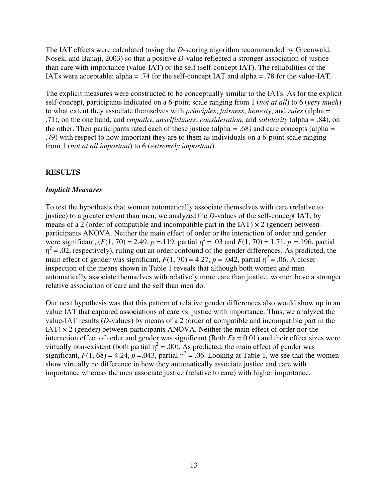The IAT effects were calculated (using the *D*-scoring algorithm recommended by Greenwald, Nosek, and Banaji, 2003) so that a positive *D*-value reflected a stronger association of justice than care with importance (value-IAT) or the self (self-concept IAT). The reliabilities of the IATs were acceptable; alpha = .74 for the self-concept IAT and alpha = .78 for the value-IAT.

The explicit measures were constructed to be conceptually similar to the IATs. As for the explicit self-concept, participants indicated on a 6-point scale ranging from 1 (*not at all*) to 6 (*very much*) to what extent they associate themselves with *principles*, *fairness*, *honesty*, and *rules* (alpha = .71), on the one hand, and *empathy*, *unselfishness*, *consideration*, and *solidarity* (alpha = .84), on the other. Then participants rated each of these justice (alpha *=* .68*)* and care concepts (alpha *=*  .79) with respect to how important they are to them as individuals on a 6-point scale ranging from 1 (*not at all important*) to 6 (*extremely important*).

# **RESULTS**

### *Implicit Measures*

To test the hypothesis that women automatically associate themselves with care (relative to justice) to a greater extent than men, we analyzed the *D*-values of the self-concept IAT, by means of a 2 (order of compatible and incompatible part in the IAT)  $\times$  2 (gender) betweenparticipants ANOVA. Neither the main effect of order or the interaction of order and gender were significant,  $(F(1, 70) = 2.49, p = .119,$  partial  $\eta^2 = .03$  and  $F(1, 70) = 1.71, p = .196$ , partial  $\eta^2$  = .02, respectively), ruling out an order confound of the gender differences. As predicted, the main effect of gender was significant,  $F(1, 70) = 4.27$ ,  $p = .042$ , partial  $\eta^2 = .06$ . A closer inspection of the means shown in Table 1 reveals that although both women and men automatically associate themselves with relatively more care than justice, women have a stronger relative association of care and the self than men do.

Our next hypothesis was that this pattern of relative gender differences also would show up in an value IAT that captured associations of care vs. justice with importance. Thus, we analyzed the value-IAT results (*D*-values) by means of a 2 (order of compatible and incompatible part in the  $IAT$ )  $\times$  2 (gender) between-participants ANOVA. Neither the main effect of order nor the interaction effect of order and gender was significant (Both  $Fs = 0.01$ ) and their effect sizes were virtually non-existent (both partial  $\eta^2 = .00$ ). As predicted, the main effect of gender was significant,  $F(1, 68) = 4.24$ ,  $p = 0.043$ , partial  $\eta^2 = 0.06$ . Looking at Table 1, we see that the women show virtually no difference in how they automatically associate justice and care with importance whereas the men associate justice (relative to care) with higher importance.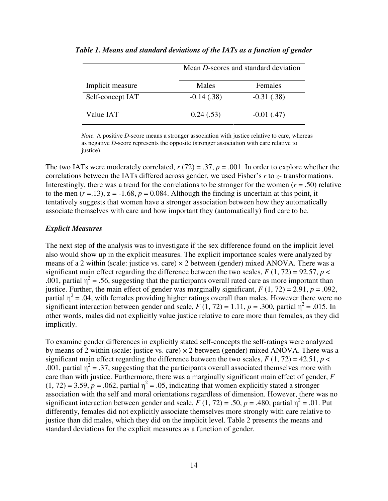|                  |               | Mean D-scores and standard deviation |  |  |
|------------------|---------------|--------------------------------------|--|--|
| Implicit measure | Males         | Females                              |  |  |
| Self-concept IAT | $-0.14(0.38)$ | $-0.31(0.38)$                        |  |  |
| Value IAT        | 0.24(.53)     | $-0.01$ (.47)                        |  |  |

*Table 1. Means and standard deviations of the IATs as a function of gender* 

*Note.* A positive *D-*score means a stronger association with justice relative to care, whereas as negative *D*-score represents the opposite (stronger association with care relative to justice).

The two IATs were moderately correlated,  $r(72) = .37$ ,  $p = .001$ . In order to explore whether the correlations between the IATs differed across gender, we used Fisher's *r* to *z*- transformations. Interestingly, there was a trend for the correlations to be stronger for the women ( $r = .50$ ) relative to the men  $(r = 13)$ ,  $z = -1.68$ ,  $p = 0.084$ . Although the finding is uncertain at this point, it tentatively suggests that women have a stronger association between how they automatically associate themselves with care and how important they (automatically) find care to be.

### *Explicit Measures*

The next step of the analysis was to investigate if the sex difference found on the implicit level also would show up in the explicit measures. The explicit importance scales were analyzed by means of a 2 within (scale: justice vs. care)  $\times$  2 between (gender) mixed ANOVA. There was a significant main effect regarding the difference between the two scales,  $F(1, 72) = 92.57$ ,  $p <$ .001, partial  $\eta^2$  = .56, suggesting that the participants overall rated care as more important than justice. Further, the main effect of gender was marginally significant,  $F(1, 72) = 2.91$ ,  $p = .092$ , partial  $\eta^2$  = .04, with females providing higher ratings overall than males. However there were no significant interaction between gender and scale,  $F(1, 72) = 1.11$ ,  $p = .300$ , partial  $\eta^2 = .015$ . In other words, males did not explicitly value justice relative to care more than females, as they did implicitly.

To examine gender differences in explicitly stated self-concepts the self-ratings were analyzed by means of 2 within (scale: justice vs. care)  $\times$  2 between (gender) mixed ANOVA. There was a significant main effect regarding the difference between the two scales,  $F(1, 72) = 42.51$ ,  $p <$ .001, partial  $\eta^2 = .37$ , suggesting that the participants overall associated themselves more with care than with justice. Furthermore, there was a marginally significant main effect of gender, *F*  $(1, 72) = 3.59$ ,  $p = .062$ , partial  $\eta^2 = .05$ , indicating that women explicitly stated a stronger association with the self and moral orientations regardless of dimension. However, there was no significant interaction between gender and scale,  $\bar{F}(1, 72) = .50$ ,  $p = .480$ , partial  $\eta^2 = .01$ . Put differently, females did not explicitly associate themselves more strongly with care relative to justice than did males, which they did on the implicit level. Table 2 presents the means and standard deviations for the explicit measures as a function of gender.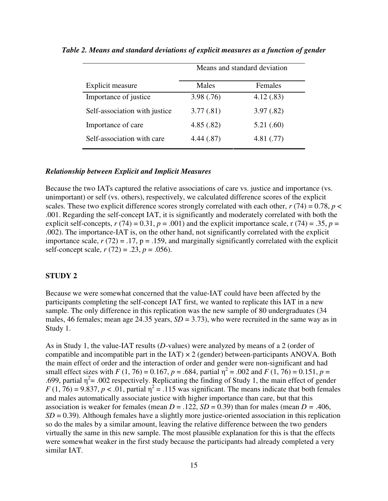|                               | Means and standard deviation |           |  |
|-------------------------------|------------------------------|-----------|--|
| Explicit measure              | Males                        | Females   |  |
| Importance of justice.        | 3.98(.76)                    | 4.12(.83) |  |
| Self-association with justice | 3.77(.81)                    | 3.97(.82) |  |
| Importance of care            | 4.85(.82)                    | 5.21(.60) |  |
| Self-association with care    | 4.44(.87)                    | 4.81(.77) |  |
|                               |                              |           |  |

*Table 2. Means and standard deviations of explicit measures as a function of gender* 

### *Relationship between Explicit and Implicit Measures*

Because the two IATs captured the relative associations of care vs. justice and importance (vs. unimportant) or self (vs. others), respectively, we calculated difference scores of the explicit scales. These two explicit difference scores strongly correlated with each other,  $r(74) = 0.78$ ,  $p \lt \theta$ .001. Regarding the self-concept IAT, it is significantly and moderately correlated with both the explicit self-concepts,  $r(74) = 0.31$ ,  $p = .001$ ) and the explicit importance scale, r  $(74) = .35$ ,  $p =$ .002). The importance-IAT is, on the other hand, not significantly correlated with the explicit importance scale,  $r(72) = .17$ ,  $p = .159$ , and marginally significantly correlated with the explicit self-concept scale, *r* (72) = .23, *p* = .056).

### **STUDY 2**

Because we were somewhat concerned that the value-IAT could have been affected by the participants completing the self-concept IAT first, we wanted to replicate this IAT in a new sample. The only difference in this replication was the new sample of 80 undergraduates (34 males, 46 females; mean age 24.35 years,  $SD = 3.73$ ), who were recruited in the same way as in Study 1.

As in Study 1, the value-IAT results (*D*-values) were analyzed by means of a 2 (order of compatible and incompatible part in the IAT)  $\times$  2 (gender) between-participants ANOVA. Both the main effect of order and the interaction of order and gender were non-significant and had small effect sizes with *F* (1, 76) = 0.167, *p* = .684, partial  $\eta^2$  = .002 and *F* (1, 76) = 0.151, *p* = .699, partial  $\eta^2$ = .002 respectively. Replicating the finding of Study 1, the main effect of gender  $F(1, 76) = 9.837$ ,  $p < .01$ , partial  $\eta^2 = .115$  was significant. The means indicate that both females and males automatically associate justice with higher importance than care, but that this association is weaker for females (mean  $D = .122$ ,  $SD = 0.39$ ) than for males (mean  $D = .406$ , *SD* = 0.39). Although females have a slightly more justice-oriented association in this replication so do the males by a similar amount, leaving the relative difference between the two genders virtually the same in this new sample. The most plausible explanation for this is that the effects were somewhat weaker in the first study because the participants had already completed a very similar IAT.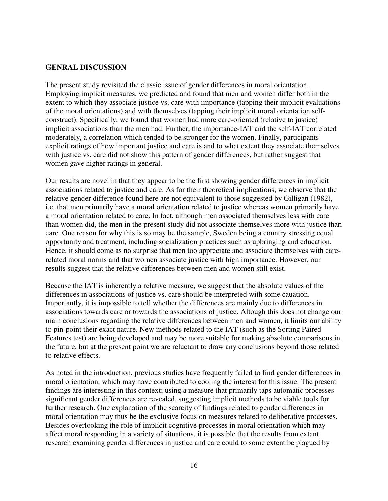### **GENRAL DISCUSSION**

The present study revisited the classic issue of gender differences in moral orientation. Employing implicit measures, we predicted and found that men and women differ both in the extent to which they associate justice vs. care with importance (tapping their implicit evaluations of the moral orientations) and with themselves (tapping their implicit moral orientation selfconstruct). Specifically, we found that women had more care-oriented (relative to justice) implicit associations than the men had. Further, the importance-IAT and the self-IAT correlated moderately, a correlation which tended to be stronger for the women. Finally, participants' explicit ratings of how important justice and care is and to what extent they associate themselves with justice vs. care did not show this pattern of gender differences, but rather suggest that women gave higher ratings in general.

Our results are novel in that they appear to be the first showing gender differences in implicit associations related to justice and care. As for their theoretical implications, we observe that the relative gender difference found here are not equivalent to those suggested by Gilligan (1982), i.e. that men primarily have a moral orientation related to justice whereas women primarily have a moral orientation related to care. In fact, although men associated themselves less with care than women did, the men in the present study did not associate themselves more with justice than care. One reason for why this is so may be the sample, Sweden being a country stressing equal opportunity and treatment, including socialization practices such as upbringing and education. Hence, it should come as no surprise that men too appreciate and associate themselves with carerelated moral norms and that women associate justice with high importance. However, our results suggest that the relative differences between men and women still exist.

Because the IAT is inherently a relative measure, we suggest that the absolute values of the differences in associations of justice vs. care should be interpreted with some cauation. Importantly, it is impossible to tell whether the differences are mainly due to differences in associations towards care or towards the associations of justice. Altough this does not change our main conclusions regarding the relative differences between men and women, it limits our ability to pin-point their exact nature. New methods related to the IAT (such as the Sorting Paired Features test) are being developed and may be more suitable for making absolute comparisons in the future, but at the present point we are reluctant to draw any conclusions beyond those related to relative effects.

As noted in the introduction, previous studies have frequently failed to find gender differences in moral orientation, which may have contributed to cooling the interest for this issue. The present findings are interesting in this context; using a measure that primarily taps automatic processes significant gender differences are revealed, suggesting implicit methods to be viable tools for further research. One explanation of the scarcity of findings related to gender differences in moral orientation may thus be the exclusive focus on measures related to deliberative processes. Besides overlooking the role of implicit cognitive processes in moral orientation which may affect moral responding in a variety of situations, it is possible that the results from extant research examining gender differences in justice and care could to some extent be plagued by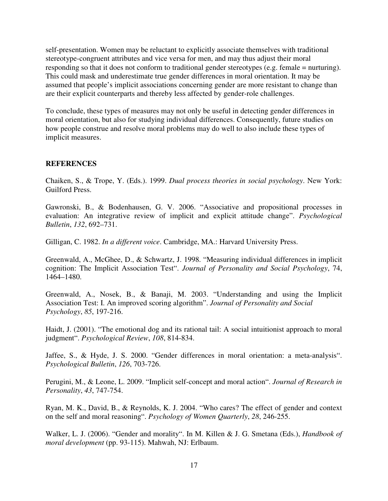self-presentation. Women may be reluctant to explicitly associate themselves with traditional stereotype-congruent attributes and vice versa for men, and may thus adjust their moral responding so that it does not conform to traditional gender stereotypes (e.g. female = nurturing). This could mask and underestimate true gender differences in moral orientation. It may be assumed that people's implicit associations concerning gender are more resistant to change than are their explicit counterparts and thereby less affected by gender-role challenges.

To conclude, these types of measures may not only be useful in detecting gender differences in moral orientation, but also for studying individual differences. Consequently, future studies on how people construe and resolve moral problems may do well to also include these types of implicit measures.

### **REFERENCES**

Chaiken, S., & Trope, Y. (Eds.). 1999. *Dual process theories in social psychology*. New York: Guilford Press.

Gawronski, B., & Bodenhausen, G. V. 2006. "Associative and propositional processes in evaluation: An integrative review of implicit and explicit attitude change". *Psychological Bulletin*, *132*, 692–731.

Gilligan, C. 1982. *In a different voice*. Cambridge, MA.: Harvard University Press.

Greenwald, A., McGhee, D., & Schwartz, J. 1998. "Measuring individual differences in implicit cognition: The Implicit Association Test". *Journal of Personality and Social Psychology*, 74, 1464–1480.

Greenwald, A., Nosek, B., & Banaji, M. 2003. "Understanding and using the Implicit Association Test: I. An improved scoring algorithm". *Journal of Personality and Social Psychology*, *85*, 197-216.

Haidt, J. (2001). "The emotional dog and its rational tail: A social intuitionist approach to moral judgment". *Psychological Review*, *108*, 814-834.

Jaffee, S., & Hyde, J. S. 2000. "Gender differences in moral orientation: a meta-analysis". *Psychological Bulletin*, *126*, 703-726.

Perugini, M., & Leone, L. 2009. "Implicit self-concept and moral action". *Journal of Research in Personality*, *43*, 747-754.

Ryan, M. K., David, B., & Reynolds, K. J. 2004. "Who cares? The effect of gender and context on the self and moral reasoning". *Psychology of Women Quarterly*, *28*, 246-255.

Walker, L. J. (2006). "Gender and morality". In M. Killen & J. G. Smetana (Eds.), *Handbook of moral development* (pp. 93-115). Mahwah, NJ: Erlbaum.